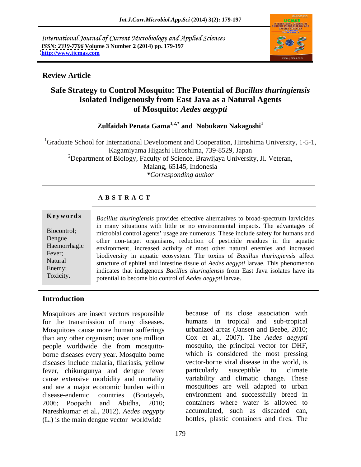International Journal of Current Microbiology and Applied Sciences *ISSN: 2319-7706* **Volume 3 Number 2 (2014) pp. 179-197 <http://www.ijcmas.com>**



# **Review Article**

# **Safe Strategy to Control Mosquito: The Potential of** *Bacillus thuringiensis* **Isolated Indigenously from East Java as a Natural Agents of Mosquito:** *Aedes aegypti*

**Zulfaidah Penata Gama1,2,\* and Nobukazu Nakagoshi1**

<sup>1</sup>Graduate School for International Development and Cooperation, Hiroshima University, 1-5-1, Kagamiyama Higashi Hiroshima, 739-8529, Japan <sup>2</sup>Department of Biology, Faculty of Science, Brawijaya University, Jl. Veteran, Malang, 65145, Indonesia *\*Corresponding author* 

# **A B S T R A C T**

**Ke ywo rds** *Bacillus thuringiensis* provides effective alternatives to broad-spectrum larvicides Biocontrol; microbial control agents' usage are numerous. These include safety for humans and Dengue other non-target organisms, reduction of pesticide residues in the aquatic Haemorrhagic environment, increased activity of most other natural enemies and increased Fever; biodiversity in aquatic ecosystem. The toxins of *Bacillus thuringiensis* affect Natural structure of ephitel and intestine tissue of *Aedes aegypti* larvae. This phenomenon Enemy;<br>
indicates that indigenous *Bacillus thuringiensis* from East Java isolates have its Toxicity. potential to become bio control of *Aedes aegypti* larvae.in many situations with little or no environmental impacts. The advantages of

# **Introduction**

Mosquitoes are insect vectors responsible for the transmission of many diseases. Mosquitoes cause more human sufferings than any other organism; over one million people worldwide die from mosquito borne diseases every year. Mosquito borne diseases include malaria, filariasis, yellow fever, chikungunya and dengue fever cause extensive morbidity and mortality and are a major economic burden within disease-endemic countries (Boutayeb, environment and successfully breed in 2006; Poopathi and Abidha, 2010; containers where water is allowed to Nareshkumar et al., 2012). *Aedes aegypty* (L.) is the main dengue vector worldwide

because of its close association with humans in tropical and sub-tropical urbanized areas (Jansen and Beebe, 2010; Cox et al*.,* 2007). The *Aedes aegypti* mosquito, the principal vector for DHF, which is considered the most pressing vector-borne viral disease in the world, is particularly susceptible to climate variability and climatic change. These mosquitoes are well adapted to urban accumulated, such as discarded can, bottles, plastic containers and tires. The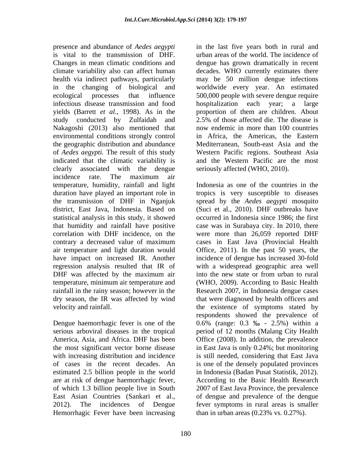presence and abundance of *Aedes aegypti* in the last five years both in rural and is vital to the transmission of DHF. urban areas of the world. The incidence of Changes in mean climatic conditions and dengue has grown dramatically in recent climate variability also can affect human decades. WHO currently estimates there health via indirect pathways, particularly in the changing of biological and worldwide every year. An estimated ecological processes that influence 500,000 people with severe dengue require infectious disease transmission and food yields (Barrett *et al.,* 1998). As in the proportion of them are children. About study conducted by Zulfaidah and 2.5% of those affected die. The disease is Nakagoshi (2013) also mentioned that environmental conditions strongly control the geographic distribution and abundance Mediterranean, South-east Asia and the of *Aedes aegypti.* The result of this study indicated that the climatic variability is clearly associated with the dengue incidence rate. The maximum air temperature, humidity, rainfall and light duration have played an important role in tropics is very susceptible to diseases the transmission of DHF in Nganjuk spread by the *Aedes aegypti* mosquito district, East Java, Indonesia. Based on statistical analysis in this study, it showed occurred in Indonesia since 1986; the first that humidity and rainfall have positive case was in Surabaya city. In 2010, there correlation with DHF incidence, on the were more than 26,059 reported DHF contrary a decreased value of maximum air temperature and light duration would Office, 2011). In the past 50 years, the have impact on increased IR. Another incidence of dengue has increased 30-fold regression analysis resulted that IR of with a widespread geographic area well DHF was affected by the maximum air into the new state or from urban to rural temperature, minimum air temperature and (WHO, 2009). According to Basic Health rainfall in the rainy season; however in the Research 2007, in Indonesia dengue cases dry season, the IR was affected by wind that were diagnosed by health officers and

estimated 2.5 billion people in the world are at risk of dengue haemorrhagic fever, Hemorrhagic Fever have been increasing may be 50 million dengue infections hospitalization each year; 2.5% of those affected die. The disease is now endemic in more than 100 countries in Africa, the Americas, the Eastern Western Pacific regions. Southeast Asia and the Western Pacific are the most seriously affected (WHO, 2010).

velocity and rainfall. the existence of symptoms stated by Dengue haemorrhagic fever is one of the  $0.6\%$  (range:  $0.3\%$  -  $2.5\%$ ) within a serious arboviral diseases in the tropical period of 12 months (Malang City Health America, Asia, and Africa. DHF has been Office (2008). In addition, the prevalence the most significant vector borne disease in East Java is only 0.24%; but monitoring with increasing distribution and incidence is still needed, considering that East Java of cases in the recent decades. An is one of the densely populated provinces of which 1.3 billion people live in South 2007 of East Java Province, the prevalence East Asian Countries (Sankari et al., of dengue and prevalence of the dengue 2012). The incidences of Dengue fever symptoms in rural areas is smaller Indonesia as one of the countries in the (Suci et al*.,* 2010).DHF outbreaks have cases in East Java (Provincial Health into the new state or from urban to rural respondents showed the prevalence of in Indonesia (Badan Pusat Statistik, 2012). According to the Basic Health Research than in urban areas (0.23% vs. 0.27%).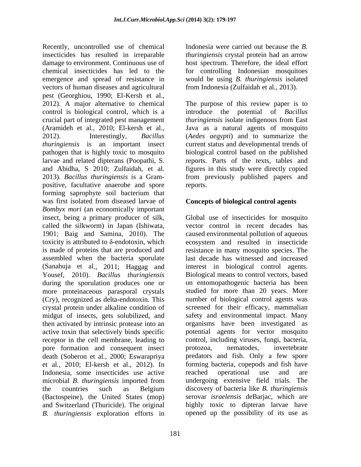Recently, uncontrolled use of chemical insecticides has resulted in irreparable *thuringiensis* crystal protein had an arrow damage to environment. Continuous use of host spectrum. Therefore, the ideal effort chemical insecticides has led to the for controlling Indonesian mosquitoes emergence and spread of resistance in would be using *B. thuringiensis* isolated vectors of human diseases and agricultural pest (Georghiou, 1990; El-Kersh et al.*,* 2012). A major alternative to chemical The purpose of this review paper is to control is biological control, which is a crucial part of integrated pest management *thuringiensis* isolate indigenous from East (Aramideh et al., 2010; El-kersh et al., Java as a natural agents of mosquito 2012). Interestingly, *Bacillus*  (*Aedes aegypti*) and to summarize the *thuringiensis* is an important insect current status and developmental trends of pathogen that is highly toxic to mosquito biological control based on the published larvae and related dipterans (Poopathi, S. and Abidha, S 2010; Zulfaidah, et al*.* figures in this study were directly copied 2013). *Bacillus thuringiensis* is a Gram- from previously published papers and positive, facultative anaerobe and spore forming saprophyte soil bacterium that was first isolated from diseased larvae of **Concepts of biological control agents** *Bombyx mori* (an economically important insect, being a primary producer of silk, called the silkworm) in Japan (Ishiwata, 1901; Baig and Samina, 2010). The caused environmental pollution of aqueous toxicity is attributed to  $\delta$ -endotoxin, which is made of proteins that are produced and resistance in many mosquito species. The assembled when the bacteria sporulate (Sanahuja et al., 2011; Haggag and Yousef, 2010). *Bacillus thuringiensis* Biological means to control vectors, based during the sporulation produces one or more proteinaceous parasporal crystals (Cry), recognized as delta-endotoxin. This crystal protein under alkaline condition of midgut of insects, gets solubilized, and then activated by intrinsic protease into an active toxin that selectively binds specific receptor in the cell membrane, leading to pore formation and consequent insect protozoa, nematodes, invertebrate death (Soberon et al*.,* 2000; Eswarapriya et al*.,* 2010; El-kersh et al., 2012). In forming bacteria, copepods and fish have Indonesia, some insecticides use active reached operational use and are microbial *B. thuringiensis* imported from the countries such as Belgium discovery of bacteria like *B. thuringiensis* (Bactospeine), the United States (mop) and Switzerland (Thuricide). The original *B. thuringiensis* exploration efforts in opened up the possibility of its use as

Indonesia were carried out because the *B.*  from Indonesia (Zulfaidah et al., 2013).

introduce the potential of *Bacillus*  reports. Parts of the texts, tables and reports.

# **Concepts of biological control agents**

Global use of insecticides for mosquito vector control in recent decades has ecosystem and resulted in insecticide last decade has witnessed and increased interest in biological control agents. on entomopathogenic bacteria has been studied for more than 20 years. More number of biological control agents was screened for their efficacy, mammalian safety and environmental impact. Many organisms have been investigated as potential agents for vector mosquito control, including viruses, fungi, bacteria, protozoa, nematodes, invertebrate predators and fish. Only a few spore reached operational use and are undergoing extensive field trials. The discovery of bacteria like *B. thuringiensis* serovar *israelensis* deBarjac, which are highly toxic to dipteran larvae have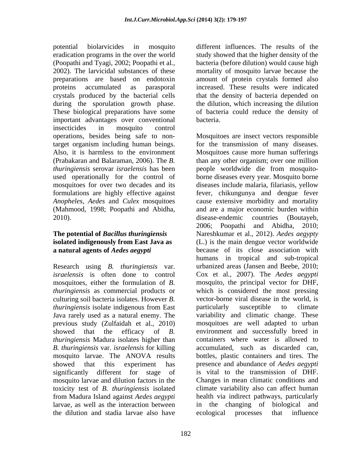potential biolarvicides in mosquito different influences. The results of the eradication programs in the over the world study showed that the higher density of the (Poopathi and Tyagi, 2002; Poopathi et al*.,* 2002). The larvicidal substances of these mortality of mosquito larvae because the preparations are based on endotoxin amount of protein crystals formed also proteins accumulated as parasporal increased. These results were indicated crystals produced by the bacterial cells that the density of bacteria depended on during the sporulation growth phase. the dilution, which increasing the dilution These biological preparations have some of bacteria could reduce the density of important advantages over conventional insecticides in mosquito control used operationally for the control of (Mahmood, 1998; Poopathi and Abidha, 2010). disease-endemic countries (Boutaveb,

# **isolated indigenously from East Java as**

Research using *B. thuringiensis* var. *thuringiensis* as commercial products or culturing soil bacteria isolates. However *B. thuringiensis* isolate indigenous from East **particularly** susceptible to climate *thuringiensis* Madura isolates higher than *B. thuringiensis* var. *israelensis* for killing significantly different for stage of mosquito larvae and dilution factors in the the dilution and stadia larvae also have

bacteria (before dilution) would cause high bacteria.

operations, besides being safe to non-Mosquitoes are insect vectors responsible target organism including human beings. for the transmission of many diseases. Also, it is harmless to the environment Mosquitoes cause more human sufferings (Prabakaran and Balaraman, 2006). The *B.*  than any other organism; over one million *thuringiensis* serovar *israelensis* has been people worldwide die from mosquito mosquitoes for over two decades and its diseases include malaria, filariasis, yellow formulations are highly effective against fever, chikungunya and dengue fever *Anopheles, Aedes* and *Culex* mosquitoes cause extensive morbidity and mortality **The potential of** *Bacillus thuringiensis* Nareshkumar et al., 2012). *Aedes aegypty* **a natural agents of** *Aedes aegypti* because of its close association with *israelensis* is often done to control Cox et al*.,* 2007). The *Aedes aegypti* mosquitoes, either the formulation of *B.*  mosquito, the principal vector for DHF, Java rarely used as a natural enemy. The variability and climatic change. These previous study (Zulfaidah et al., 2010) mosquitoes are well adapted to urban showed that the efficacy of *B.*  environment and successfully breed in mosquito larvae. The ANOVA results bottles, plastic containers and tires. The showed that this experiment has presence and abundance of*Aedes aegypti* toxicity test of *B. thuringiensis* isolated climate variability also can affect human from Madura Island against *Aedes aegypti* health via indirect pathways, particularly larvae, as well as the interaction between in the changing of biological and borne diseases every year. Mosquito borne and are a major economic burden within disease-endemic countries (Boutayeb, 2006; Poopathi and Abidha, 2010; (L.) is the main dengue vector worldwide humans in tropical and sub-tropical urbanized areas (Jansen and Beebe, 2010; which is considered the most pressing vector-borne viral disease in the world, is particularly susceptible to climate containers where water is allowed to accumulated, such as discarded can, is vital to the transmission of DHF. Changes in mean climatic conditions and ecological processes that influence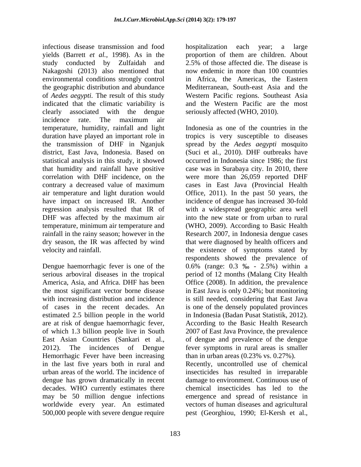infectious disease transmission and food yields (Barrett *et al.,* 1998). As in the proportion of them are children. About study conducted by Zulfaidah and 2.5% of those affected die. The disease is Nakagoshi (2013) also mentioned that environmental conditions strongly control the geographic distribution and abundance Mediterranean, South-east Asia and the of *Aedes aegypti.* The result of this study indicated that the climatic variability is clearly associated with the dengue incidence rate. The maximum air temperature, humidity, rainfall and light statistical analysis in this study, it showed air temperature and light duration would temperature, minimum air temperature and

Dengue haemorrhagic fever is one of the  $0.6\%$  (range: 0.3  $\%$  - 2.5%) within a estimated 2.5 billion people in the world are at risk of dengue haemorrhagic fever, Hemorrhagic Fever have been increasing in the last five years both in rural and urban areas of the world. The incidence of insecticides has resulted in irreparable dengue has grown dramatically in recent decades. WHO currently estimates there may be 50 million dengue infections emergence and spread of resistance in worldwide every year. An estimated 500,000 people with severe dengue require pest (Georghiou, 1990; El-Kersh et al.*,*

hospitalization each year; a large 2.5% of those affected die. The disease is now endemic in more than 100 countries in Africa, the Americas, the Eastern Western Pacific regions. Southeast Asia and the Western Pacific are the most seriously affected (WHO, 2010).

duration have played an important role in tropics is very susceptible to diseases the transmission of DHF in Nganjuk spread by the *Aedes aegypti* mosquito district, East Java, Indonesia. Based on (Suci et al*.,* 2010).DHF outbreaks have that humidity and rainfall have positive case was in Surabaya city. In 2010, there correlation with DHF incidence, on the were more than 26,059 reported DHF contrary a decreased value of maximum cases in East Java (Provincial Health have impact on increased IR. Another incidence of dengue has increased 30-fold regression analysis resulted that IR of with a widespread geographic area well DHF was affected by the maximum air into the new state or from urban to rural rainfall in the rainy season; however in the Research 2007, in Indonesia dengue cases dry season, the IR was affected by wind that were diagnosed by health officers and velocity and rainfall. the existence of symptoms stated by serious arboviral diseases in the tropical period of 12 months (Malang City Health America, Asia, and Africa. DHF has been Office (2008). In addition, the prevalence the most significant vector borne disease in East Java is only 0.24%; but monitoring with increasing distribution and incidence is still needed, considering that East Java of cases in the recent decades. An is one of the densely populated provinces of which 1.3 billion people live in South 2007 of East Java Province, the prevalence East Asian Countries (Sankari et al., of dengue and prevalence of the dengue 2012). The incidences of Dengue fever symptoms in rural areas is smaller Indonesia as one of the countries in the occurred in Indonesia since 1986; the first Office, 2011). In the past 50 years, the into the new state or from urban to rural (WHO, 2009). According to Basic Health respondents showed the prevalence of 0.6% (range: 0.3  $\%$  - 2.5%) within a in Indonesia (Badan Pusat Statistik, 2012). According to the Basic Health Research than in urban areas (0.23% vs. 0.27%).

> Recently, uncontrolled use of chemical damage to environment. Continuous use of chemical insecticides has led to the vectors of human diseases and agricultural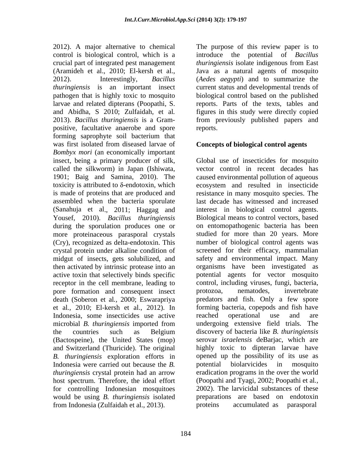control is biological control, which is a introduce the potential of *Bacillus*  crucial part of integrated pest management *thuringiensis* isolate indigenous from East (Aramideh et al., 2010; El-kersh et al., Java as a natural agents of mosquito 2012). Interestingly, *Bacillus*  (*Aedes aegypti*) and to summarize the *thuringiensis* is an important insect pathogen that is highly toxic to mosquito biological control based on the published larvae and related dipterans (Poopathi, S. reports. Parts of the texts, tables and and Abidha, S 2010; Zulfaidah, et al*.* figures in this study were directly copied 2013). *Bacillus thuringiensis* is a Gram- from previously published papers and positive, facultative anaerobe and spore forming saprophyte soil bacterium that was first isolated from diseased larvae of *Bombyx mori* (an economically important insect, being a primary producer of silk, called the silkworm) in Japan (Ishiwata, vector control in recent decades has 1901; Baig and Samina, 2010). The caused environmental pollution of aqueous toxicity is attributed to δ-endotoxin, which ecosystem and resulted in insecticide is made of proteins that are produced and resistance in many mosquito species. The assembled when the bacteria sporulate last decade has witnessed and increased (Sanahuja et al., 2011; Haggag and Yousef, 2010). *Bacillus thuringiensis* during the sporulation produces one or on entomopathogenic bacteria has been more proteinaceous parasporal crystals (Cry), recognized as delta-endotoxin. This crystal protein under alkaline condition of midgut of insects, gets solubilized, and then activated by intrinsic protease into an active toxin that selectively binds specific potential agents for vector mosquito receptor in the cell membrane, leading to pore formation and consequent insect death (Soberon et al*.,* 2000; Eswarapriya predators and fish. Only a few spore et al*.,* 2010; El-kersh et al., 2012). In Indonesia, some insecticides use active reached operational use and are microbial *B. thuringiensis* imported from the countries such as Belgium discovery of bacteria like *B. thuringiensis* (Bactospeine), the United States (mop) and Switzerland (Thuricide). The original *B. thuringiensis* exploration efforts in Indonesia were carried out because the *B. thuringiensis* crystal protein had an arrow host spectrum. Therefore, the ideal effort (Poopathi and Tyagi, 2002; Poopathi et al*.,* for controlling Indonesian mosquitoes would be using *B. thuringiensis* isolated preparations are based on endotoxin from Indonesia (Zulfaidah et al., 2013).

2012). A major alternative to chemical The purpose of this review paper is to current status and developmental trends of reports.

## **Concepts of biological control agents**

Global use of insecticides for mosquito interest in biological control agents. Biological means to control vectors, based studied for more than 20 years. More number of biological control agents was screened for their efficacy, mammalian safety and environmental impact. Many organisms have been investigated as control, including viruses, fungi, bacteria, protozoa, nematodes, invertebrate forming bacteria, copepods and fish have reached operational use and are undergoing extensive field trials. The discovery of bacteria like *B. thuringiensis* serovar *israelensis* deBarjac, which are highly toxic to dipteran larvae have opened up the possibility of its use as potential biolarvicides in mosquito eradication programs in the over the world 2002). The larvicidal substances of these accumulated as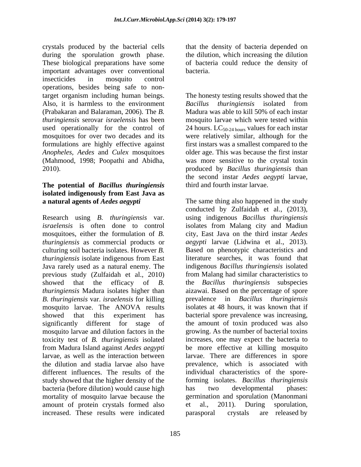crystals produced by the bacterial cells that the density of bacteria depended on during the sporulation growth phase. These biological preparations have some of bacteria could reduce the density of important advantages over conventional insecticides in mosquito control operations, besides being safe to nontarget organism including human beings. The honesty testing results showed that the Also, it is harmless to the environment Bacillus thuringiensis isolated from (Prabakaran and Balaraman, 2006). The*B.*  Madura was able to kill 50% of each instar *thuringiensis* serovar *israelensis* has been used operationally for the control of 24 hours.  $LC_{50-24 \text{ hours}}$  values for each instar mosquitoes for over two decades and its were relatively similar, although for the formulations are highly effective against first instars was a smallest compared to the *Anopheles, Aedes* and *Culex* mosquitoes (Mahmood, 1998; Poopathi and Abidha, was more sensitive to the crystal toxin 2010). produced by *Bacillus thuringiensis* than

# **The potential of** *Bacillus thuringiensis* **isolated indigenously from East Java as**

Research using *B. thuringiensis* var. *israelensis* is often done to control isolates from Malang city and Madiun mosquitoes, either the formulation of *B.*  city, East Java on the third instar *Aedes thuringiensis* as commercial products or culturing soil bacteria isolates. However *B.*  Based on phenotypic characteristics and *thuringiensis* isolate indigenous from East<br>Java rarely used as a natural enemy. The Java rarely used as a natural enemy. The indigenous *Bacillus thuringiensis* isolated previous study (Zulfaidah et al., 2010) showed that the efficacy of *B.*  the *Bacillus thuringiensis* subspecies *thuringiensis* Madura isolates higher than aizawai. Based on the percentage of spore *B. thuringiensis* var. *israelensis* for killing mosquito larvae. The ANOVA results isolates at 48 hours, it was known that if showed that this experiment has bacterial spore prevalence was increasing, significantly different for stage of the amount of toxin produced was also mosquito larvae and dilution factors in the toxicity test of *B. thuringiensis* isolated from Madura Island against *Aedes aegypti* be more effective at killing mosquito larvae, as well as the interaction between larvae. There are differences in spore the dilution and stadia larvae also have prevalence, which is associated with different influences. The results of the individual characteristics of the sporestudy showed that the higher density of the forming isolates. *Bacillus thuringiensis* bacteria (before dilution) would cause high has two developmental phases: mortality of mosquito larvae because the germination and sporulation (Manonmani amount of protein crystals formed also et al., 2011). During sporulation, increased. These results were indicated

the dilution, which increasing the dilution bacteria.

*Bacillus thuringiensis* isolated from mosquito larvae which were tested within older age. This was because the first instar the second instar *Aedes aegypti* larvae, third and fourth instar larvae.

**a natural agents of** *Aedes aegypti* The same thing also happened in the study conducted by Zulfaidah et al., (2013), using indigenous *Bacillus thuringiensis aegypti* larvae (Lidwina et al., 2013). literature searches, it was found that from Malang had similar characteristics to prevalence in *Bacillus thuringiensis* growing. As the number of bacterial toxins increases, one may expect the bacteria to has two developmental phases: et al., 2011). During sporulation, are released by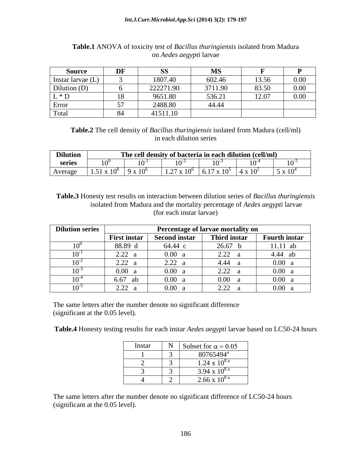| Source                            | DF                    | $\alpha$<br>υU | MC<br>LV L J |       |          |
|-----------------------------------|-----------------------|----------------|--------------|-------|----------|
| Instar larvae (L)                 |                       | 1807.40        | 602.46       | 13.56 | $0.00\,$ |
| Dilution $(D)$                    |                       | 222271.90      | 3711.90      | 83.50 | $0.00\,$ |
| $*$ D                             | $\overline{10}$<br>10 | 9651.80        | 536.21       | 12.07 | $0.00\,$ |
| $\overline{\phantom{0}}$<br>Error | --<br>ຸບ 1            | 2488.80        | 44.44        |       |          |
| Total                             | O <sub>A</sub>        | 41511.10       |              |       |          |

# **Table.1** ANOVA of toxicity test of *Bacillus thuringiensis* isolated from Madura on *Aedes aegypti* larvae

**Table.2** The cell density of *Bacillus thuringiensis* isolated from Madura (cell/ml) in each dilution series

| <b>Dilution</b> |            | The cell density of bacteria in each dilution (cell/ml) |                            | $\mathbf{v}$              |           |
|-----------------|------------|---------------------------------------------------------|----------------------------|---------------------------|-----------|
| series          | 0          | $\sim$                                                  |                            |                           | $10^{-3}$ |
| Average         | $\sim$ 100 | $\sqrt{107}$<br>$\mathbf{I}$<br>$\blacksquare$ .        | $-1$<br>$\times 10^5$<br>. | $\cdot$ x 10 <sup>5</sup> | 5 x 10    |

**Table.3** Honesty test results on interaction between dilution series of *Bacillus thuringiensis*  isolated from Madura and the mortality percentage of *Aedes aegypti* larvae (for each instar larvae)

| <b>Dilution series</b> | Percentage of larvae mortality on     |                      |                                                                             |                      |  |
|------------------------|---------------------------------------|----------------------|-----------------------------------------------------------------------------|----------------------|--|
|                        | <b>First instar</b>                   | <b>Second instar</b> | Third instar                                                                | <b>Fourth instar</b> |  |
|                        | 88.89 d                               | 64.44 c              | 26.67                                                                       | $11.11$ ab           |  |
|                        | າ າາ<br>$\angle$ . $\angle$ $\angle$  | 0.00 a               | $\Omega$<br>$\sqrt{2.72}$                                                   | 4.44 ab              |  |
|                        | 2.22                                  | 2.22:                | 4.44                                                                        | 0.00 a               |  |
|                        | 0.00                                  | 0.00 a               | $\Omega$<br>$\overline{a}$ . $\overline{a}$                                 | 0.00 a               |  |
|                        | $\overline{\phantom{0}}$<br>6.6<br>ab | $0.00\,$             | 0.00                                                                        | 0.00 a               |  |
|                        | 2.22                                  | $0.00\,$             | $\Omega$<br>$\overline{\phantom{m}}\ldots\overline{\phantom{m}}\phantom{m}$ | 0.00 a               |  |

The same letters after the number denote no significant difference (significant at the 0.05 level).

**Table.4** Honesty testing results for each instar *Aedes aegypti* larvae based on LC50-24 hours

| Instar | Subset for $\alpha = 0.05$        |
|--------|-----------------------------------|
|        | 80765494 <sup>a</sup>             |
|        | $1.24 \times 10^{8}$ <sup>a</sup> |
|        | 3.94 x $10^{8a}$                  |
|        | $2.66 \times 10^{8}$ <sup>a</sup> |

The same letters after the number denote no significant difference of LC50-24 hours (significant at the 0.05 level).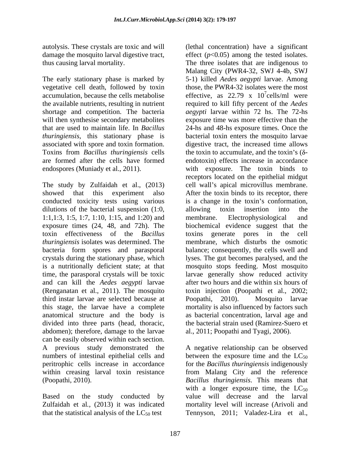autolysis. These crystals are toxic and will (lethal concentration) have a significant

The early stationary phase is marked by shortage and competition. The bacteria will then synthesise secondary metabolites *thuringiensis*, this stationary phase is

dilutions of the bacterial suspension (1:0, allowing toxin insertion into the 1:1,1:3, 1:5, 1:7, 1:10, 1:15, and 1:20) and membrane. Electrophysiological and toxin effectiveness of the *Bacillus*  third instar larvae are selected because at anatomical structure and the body is divided into three parts (head, thoracic, the bacterial strain used (Ramirez-Suero et abdomen); therefore, damage to the larvae al., 2011; Poopathi and Tyagi, 2006). can be easily observed within each section. A previous study demonstrated the A negative relationship can be observed numbers of intestinal epithelial cells and between the exposure time and the  $LC_{50}$ peritrophic cells increase in accordance for the *Bacillus thuringiensis* indigenously within creasing larval toxin resistance from Malang City and the reference (Poopathi, 2010). *Bacillus thuringiensis*. This means that

that the statistical analysis of the  $LC_{50}$  test Tennyson, 2011; Valadez-Lira et al.,

damage the mosquito larval digestive tract,  $\qquad$  effect ( $p<0.05$ ) among the tested isolates. thus causing larval mortality. The three isolates that are indigenous to vegetative cell death, followed by toxin those, the PWR4-32 isolates were the most accumulation, because the cells metabolise  $\qquad$  effective, as 22.79 x 10'cells/ml were the available nutrients, resulting in nutrient required to kill fifty percent of the *Aedes*  that are used to maintain life. In *Bacillus*  24-hs and 48-hs exposure times. Once the associated with spore and toxin formation. digestive tract, the increased time allows<br>Toxins from *Bacillus thuringiensis* cells the toxin to accumulate, and the toxin's ( $\delta$ are formed after the cells have formed endotoxin) effects increase in accordance endospores (Muniady et al., 2011). with exposure. The toxin binds to The study by Zulfaidah et al., (2013) cell wall's apical microvillus membrane. showed that this experiment also After the toxin binds to its receptor, there conducted toxicity tests using various is a change in the toxin's conformation, exposure times (24, 48, and 72h). The biochemical evidence suggest that the *thuringiensis* isolates was determined. The membrane, which disturbs the osmotic bacteria form spores and parasporal balance; consequently, the cells swell and crystals during the stationary phase, which lyses. The gut becomes paralysed, and the is a nutritionally deficient state; at that mosquito stops feeding. Most mosquito time, the parasporal crystals will be toxic larvae generally show reduced activity and can kill the *Aedes aegypti* larvae after two hours and die within six hours of (Renganatan et al., 2011). The mosquito toxin injection (Poopathi et al., 2002; this stage, the larvae have a complete mortality is also influenced by factors such Malang City (PWR4-32, SWJ 4-4b, SWJ 5-1) killed *Aedes aegypti* larvae. Among  $7\degree$ colle/ml woro cells/ml were *aegypti* larvae within 72 hs. The 72-hs exposure time was more effective than the bacterial toxin enters the mosquito larvae digestive tract, the increased time allows the toxin to accumulate, and the toxin's  $(\delta$ receptors located on the epithelial midgut allowing toxin insertion into the membrane. Electrophysiological and toxins generate pores in the Poopathi, 2010). Mosquito larvae as bacterial concentration, larval age and the bacterial strain used (Ramirez-Suero et al., 2011; Poopathi and Tyagi, 2006).

Based on the study conducted by value will decrease and the larval Zulfaidah et al*.,* (2013) it was indicated mortality level will increase (Arivoli and with a longer exposure time, the  $LC_{50}$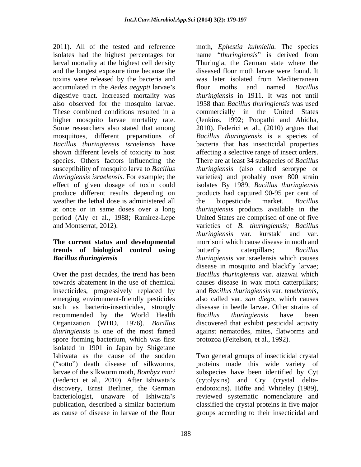2011). All of the tested and reference moth, *Ephestia kuhniella.* The species larval mortality at the highest cell density and the longest exposure time because the toxins were released by the bacteria and accumulated in the *Aedes aegypti* larvae's flour moths and named *Bacillus* weather the lethal dose is administered all the biopesticide market. Bacillus

# **trends** of **biological control using** butterfly caterpillars; Bacillus

insecticides, progressively replaced by and Bacillus thuringiensis var. tenebrionis, emerging environment-friendly pesticides also called var. san diego, which causes such as bacterio-insecticides, strongly recommended by the World Health Bacillus thuringiensis have been spore forming bacterium, which was first isolated in 1901 in Japan by Shigetane Ishiwata as the cause of the sudden Two general groups of insecticidal crystal as cause of disease in larvae of the flour groups according to their insecticidal and

isolates had the highest percentages for mame *"thuringiensis*" is derived from digestive tract. Increased mortality was *thuringiensis* in 1911. It was not until also observed for the mosquito larvae. 1958 than *Bacillus thuringiensis* was used These combined conditions resulted in a commercially in the United States higher mosquito larvae mortality rate. (Jenkins, 1992; Poopathi and Abidha, Some researchers also stated that among 2010). Federici et al., (2010) argues that mosquitoes, different preparations of *Bacillus thuringiensis* is a species of *Bacillus thuringiensis israelensis* have bacteria that has insecticidal properties shown different levels of toxicity to host affecting a selective range of insect orders. species. Others factors influencing the There are at least 34 subspecies of *Bacillus*  susceptibility of mosquito larva to *Bacillus thuringiensis* (also called serotype or *thuringiensis israelensis*. For example; the varieties) and probably over 800 strain effect of given dosage of toxin could isolates By 1989, *Bacillus thuringiensis* produce different results depending on products had captured 90-95 per cent of at once or in same doses over a long *thuringiensis* products available in the period (Aly et al., 1988; Ramirez-Lepe United States are comprised of one of five and Montserrat, 2012). varieties of *B. thuringiensis; Bacillus* **The current status and developmental** morrisoni which cause disease in moth and *Bacillus thuringiensis thuringiensis* var.israelensis which causes Over the past decades, the trend has been *Bacillus thuringiensis* var. aizawai which towards abatement in the use of chemical causes disease in wax moth catterpillars; Organization (WHO, 1976). *Bacillus*  discovered that exhibit pesticidal activity *thuringiensis* is one of the most famed against nematodes, mites, flatworms and Thuringia, the German state where the diseased flour moth larvae were found. It was later isolated from Mediterranean flour moths and named *Bacillus*  the biopesticide market. *Bacillus thuringiensis* var. kurstaki and var. butterfly caterpillars; *Bacillus*  disease in mosquito and blackfly larvae; and *Bacillus thuringiensis* var. *tenebrionis*, also called var. *san diego*, which causes disesase in beetle larvae. Other strains of *Bacillus thuringiensis* have been protozoa (Feitelson, et al., 1992).

("sotto") death disease of silkworms, proteins made this wide variety of larvae of the silkworm moth, *Bombyx mori*  subspecies have been identified by Cyt (Federici et al., 2010). After Ishiwata s (cytolysins) and Cry (crystal delta discovery, Ernst Berliner, the German endotoxins). Höfte and Whiteley (1989), bacteriologist, unaware of Ishiwata's reviewed systematic nomenclature and publication, described a similar bacterium Two general groups of insecticidal crystal classified the crystal proteins in five major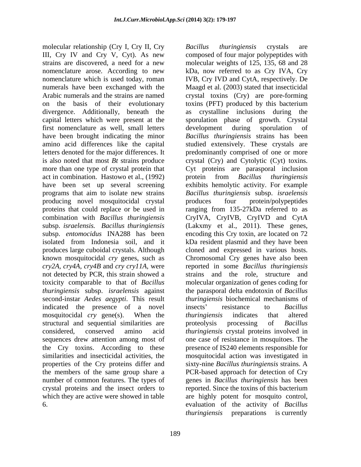molecular relationship (Cry I, Cry II, Cry Bacillus thuringiensis crystals are III, Cry IV and Cry V, Cyt). As new composed of four major polypeptides with strains are discovered, a need for a new molecular weights of 125, 135, 68 and 28 nomenclature arose. According to new kDa, now referred to as Cry IVA, Cry nomenclature which is used today, roman IVB, Cry IVD and CytA, respectively. De numerals have been exchanged with the Maagd et al. (2003) stated that insecticidal Arabic numerals and the strains are named crystal toxins (Cry) are pore-forming on the basis of their evolutionary toxins (PFT) produced by this bacterium divergence. Additionally, beneath the as crystalline inclusions during the capital letters which were present at the sporulation phase of growth. Crystal first nomenclature as well, small letters have been brought indicating the minor *Bacillus thuringiensis* strains has been amino acid differences like the capital studied extensively. These crystals are letters denoted for the major differences. It predominantly comprised of one or more is also noted that most *Bt* strains produce crystal (Cry) and Cytolytic (Cyt) toxins. more than one type of crystal protein that Cyt proteins are parasporal inclusion act in combination. Hastowo et al., (1992) protein from *Bacillus thuringiensis* have been set up several screening exhibits hemolytic activity. For example programs that aim to isolate new strains *Bacillus thuringiensis* subsp. *israelensis*  producing novel mosquitocidal crystal proteins that could replace or be used in ranging from 135-27kDa referred to as combination with *Bacillus thuringiensis* CryIVA, CryIVB, CryIVD and CytA subsp. *israelensis. Bacillus thuringiensis* (Lakxmy et al., 2011). These genes, subsp. *entomocidus* INA288 has been encoding this Cry toxin, are located on 72 isolated from Indonesia soil, and it kDa resident plasmid and they have been produces large cuboidal crystals. Although cloned and expressed in various hosts. known mosquitocidal *cry* genes, such as Chromosomal Cry genes have also been *cry2A, cry4A, cry4B* and *cry cry11A*, were reported in some *Bacillus thuringiensis* not detected by PCR, this strain showed a strains and the role, structure and toxicity comparable to that of *Bacillus* molecular organization of genes coding for *thuringiensis* subsp. *israelensis* against the parasporal delta endotoxin of *Bacillus*  second-instar *Aedes aegypti*. This result *thuringiensis* biochemical mechanisms of indicated the presence of a novel insects' resistance to *Bacillus* mosquitocidal *cry* gene(s). When the *thuringiensis* indicates that altered structural and sequential similarities are proteolysis processing of *Bacillus* considered, conserved amino acid *thuringiensis* crystal proteins involved in sequences drew attention among most of one case of resistance in mosquitoes. The the Cry toxins. According to these similarities and insecticidal activities, the mosquitocidal action was investigated in properties of the Cry proteins differ and sixty-nine *Bacillus thuringiensis* strains. A the members of the same group share a PCR-based approach for detection of Cry number of common features. The types of genes in *Bacillus thuringiensis* has been crystal proteins and the insect orders to which they are active were showed in table are highly potent for mosquito control,

189

6. evaluation of the activity of *Bacillus Bacillus thuringiensis* crystals are as crystalline inclusions during development during sporulation of protein from *Bacillus thuringiensis* produces four protein/polypeptides insects resistance to *Bacillus thuringiensis* indicates that altered proteolysis processing of *Bacillus* presence of IS240 elements responsible for reported. Since the toxins of this bacterium *thuringiensis* preparations is currently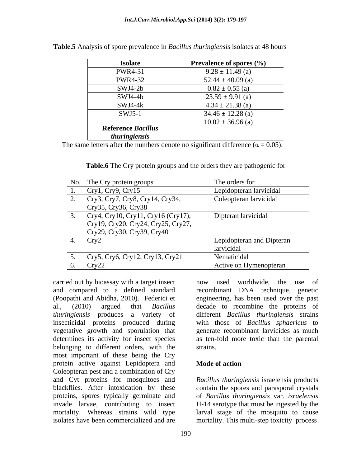| <b>Isolate</b>            | <b>Prevalence of spores <math>(\% )</math></b> |
|---------------------------|------------------------------------------------|
| <b>PWR4-31</b>            | $9.28 \pm 11.49$ (a)                           |
| <b>PWR4-32</b>            | 52.44 $\pm$ 40.09 (a)                          |
| SWJ4-2b                   | $0.82 \pm 0.55$ (a)                            |
| SWJ4-4b                   | $23.59 \pm 9.91$ (a)                           |
| $SWJ4-4k$                 | $4.34 \pm 21.38$ (a)                           |
| $SWJ5-1$                  | $34.46 \pm 12.28$ (a)                          |
|                           | $10.02 \pm 36.96$ (a)                          |
| <b>Reference Bacillus</b> |                                                |
| thuringiensis             |                                                |

**Table.5** Analysis of spore prevalence in *Bacillus thuringiensis* isolates at 48 hours

The same letters after the numbers denote no significant difference ( $\alpha = 0.05$ ).

**Table.6** The Cry protein groups and the orders they are pathogenic for

|            | No. The Cry protein groups                                                                             | The orders for                          |
|------------|--------------------------------------------------------------------------------------------------------|-----------------------------------------|
|            | Cry1, Cry9, Cry15                                                                                      | Lepidopteran larvicidal                 |
| <u>L</u> . | Cry3, Cry7, Cry8, Cry14, Cry34,<br>Cry35, Cry36, Cry38                                                 | Coleopteran larvicidal                  |
|            | Cry4, Cry10, Cry11, Cry16 (Cry17),<br>Cry19, Cry20, Cry24, Cry25, Cry27,<br>Cry29, Cry30, Cry39, Cry40 | Dipteran larvicidal                     |
|            | Cry2                                                                                                   | Lepidopteran and Dipteran<br>larvicidal |
|            | Cry5, Cry6, Cry12, Cry13, Cry21                                                                        | Nematicidal                             |
| $\sigma$ . | $\vert$ Cry22                                                                                          | Active on Hymenopteran                  |

carried out by bioassay with a target insect now used worldwide, the use of and compared to a defined standard (Poopathi and Abidha, 2010). Federici et engineering, has been used over the past al., (2010) argued that *Bacillus*  decade to recombine the proteins of *thuringiensis* produces a variety of different *Bacillus thuringiensis* strains insecticidal proteins produced during with those of *Bacillus sphaericus* to vegetative growth and sporulation that generate recombinant larvicides as much determines its activity for insect species as ten-fold more toxic than the parental belonging to different orders, with the most important of these being the Cry protein active against Lepidoptera and **Mode of action** Coleopteran pest and a combination of Cry and Cyt proteins for mosquitoes and *Bacillus thuringiensis* israelensis products blackflies. After intoxication by these contain the spores and parasporal crystals proteins, spores typically germinate and of *Bacillus thuringiensis* var. *israelensis* invade larvae, contributing to insect H-14 serotype that must be ingested by the mortality. Whereas strains wild type larval stage of the mosquito to cause isolates have been commercialized and are mortality. This multi-step toxicity process

now used worldwide, the use recombinant DNA technique, genetic strains.

## **Mode of action**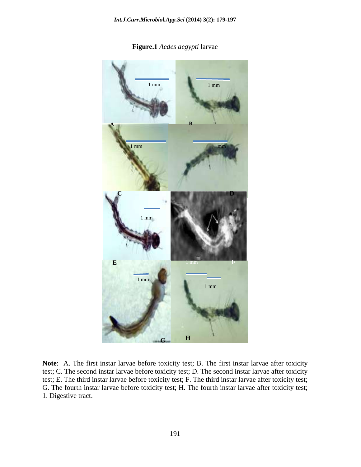

**Figure.1** *Aedes aegypti* larvae

**Note**: A. The first instar larvae before toxicity test; B. The first instar larvae after toxicity test; C. The second instar larvae before toxicity test; D. The second instar larvae after toxicity test; E. The third instar larvae before toxicity test; F. The third instar larvae after toxicity test; G. The fourth instar larvae before toxicity test; H. The fourth instar larvae after toxicity test; 1. Digestive tract.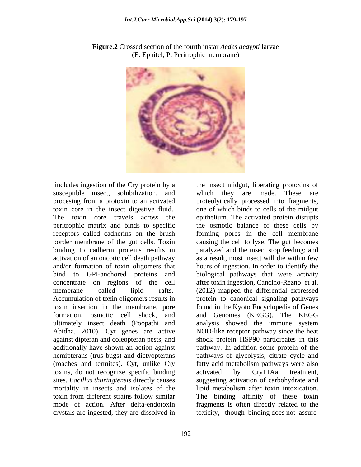

**Figure.2** Crossed section of the fourth instar *Aedes aegypti* larvae (E. Ephitel; P. Peritrophic membrane)

includes ingestion of the Cry protein by a the insect midgut, liberating protoxins of susceptible insect, solubilization, and activation of an oncotic cell death pathway as a result, most insect will die within few Abidha, 2010). Cyt genes are active toxins, do not recognize specific binding activated by Cry11Aa treatment, crystals are ingested, they are dissolved in

procesing from a protoxin to an activated proteolytically processed into fragments, toxin core in the insect digestive fluid. one of which binds to cells of the midgut The toxin core travels across the epithelium. The activated protein disrupts peritrophic matrix and binds to specific the osmotic balance of these cells by receptors called cadherins on the brush forming pores in the cell membrane border membrane of the gut cells. Toxin causing the cell to lyse. The gut becomes binding to cadherin proteins results in paralyzed and the insect stop feeding; and and/or formation of toxin oligomers that hours of ingestion. In order to identify the bind to GPI-anchored proteins and biological pathways that were activity concentrate on regions of the cell after toxin ingestion, Cancino-Rezno et al. membrane called lipid rafts. (2012) mapped the differential expressed Accumulation of toxin oligomers results in protein to canonical signaling pathways toxin insertion in the membrane, pore found in the Kyoto Encyclopedia of Genes formation, osmotic cell shock, and and Genomes (KEGG). The KEGG ultimately insect death (Poopathi and analysis showed the immune system against dipteran and coleopteran pests, and shock protein HSP90 participates in this additionally have shown an action against pathway. In addition some protein of the hemipterans (trus bugs) and dictyopterans pathways of glycolysis, citrate cycle and (roaches and termites). Cyt, unlike Cry fatty acid metabolism pathways were also sites. *Bacillus thuringiensis* directly causes suggesting activation of carbohydrate and mortality in insects and isolates of the lipid metabolism after toxin intoxication. toxin from different strains follow similar The binding affinity of these toxin mode of action. After delta-endotoxin fragments is often directly related to the which they are made. These are as a result, most insect will die within few NOD-like receptor pathway since the heat activated by Cry11Aa treatment, toxicity, though binding does not assure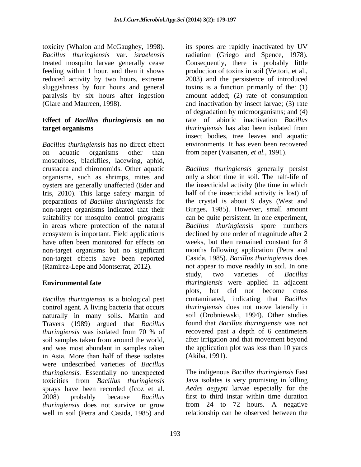sluggishness by four hours and general

## **Effect of** *Bacillus thuringiensis* **on no target organisms** *thuringiensis* has also been isolated from

*Bacillus thuringiensis* has no direct effect on aquatic organisms other than from paper (Vaisanen, *et al.,* 1991). mosquitoes, blackflies, lacewing, aphid, crustacea and chironomids. Other aquatic *Bacillus thuringiensis* generally persist organisms, such as shrimps, mites and only a short time in soil. The half-life of oysters are generally unaffected (Eder and Iris, 2010). This large safety margin of preparations of *Bacillus thuringiensis* for the crystal is about 9 days (West and non-target organisms indicated that their Burges, 1985). However, small amount suitability for mosquito control programs can be quite persistent. In one experiment, in areas where protection of the natural *Bacillus thuringiensis* spore numbers ecosystem is important. Field applications declined by one order of magnitude after 2 have often been monitored for effects on non-target organisms but no significant months following application (Petra and non-target effects have been reported (Ramirez-Lepe and Montserrat, 2012). not appear to move readily in soil. In one

*Bacillus thuringiensis* is a biological pest control agent. A living bacteria that occurs naturally in many soils. Martin and Travers (1989) argued that *Bacillus thuringiensis* was isolated from 70 % of soil samples taken from around the world, and was most abundant in samples taken in Asia. More than half of these isolates were undescribed varieties of *Bacillus thuringiensis.* Essentially no unexpected toxicities from *Bacillus thuringiensis* sprays have been recorded (Icoz et al. 2008) probably because *Bacillus*  first to third instar within time duration *thuringiensis* does not survive or grow well in soil (Petra and Casida, 1985) and

toxicity (Whalon and McGaughey, 1998). its spores are rapidly inactivated by UV *Bacillus thuringiensis* var. *israelensis* radiation (Griego and Spence, 1978). treated mosquito larvae generally cease Consequently, there is probably little feeding within 1 hour, and then it shows production of toxins in soil (Vettori, et al., reduced activity by two hours, extreme 2003) and the persistence of introduced paralysis by six hours after ingestion amount added; (2) rate of consumption (Glare and Maureen, 1998). and inactivation by insect larvae; (3) rate toxins is a function primarily of the: (1) of degradation by microorganisms; and (4) rate of abiotic inactivation *Bacillus thuringiensis* has also been isolated from insect bodies, tree leaves and aquatic environments. It has even been recovered

**Environmental fate** *thuringiensis* were applied in adjacent the insecticidal activity (the time in which half of the insecticidal activity is lost) of weeks, but then remained constant for 8 Casida, 1985). *Bacillus thuringiensis* does study, two varieties of *Bacillus*  plots, but did not become cross contaminated, indicating that *Bacillus thuringiensis* does not move laterally in soil (Drobniewski, 1994). Other studies found that *Bacillus thuringiensis* was not recovered past a depth of 6 centimeters after irrigation and that movement beyond the application plot was less than 10 yards (Akiba, 1991).

> The indigenous *Bacillus thuringiensis* East Java isolates is very promising in killing *Aedes aegypti* larvae especially for the from 24 to 72 hours. A negative relationship can be observed between the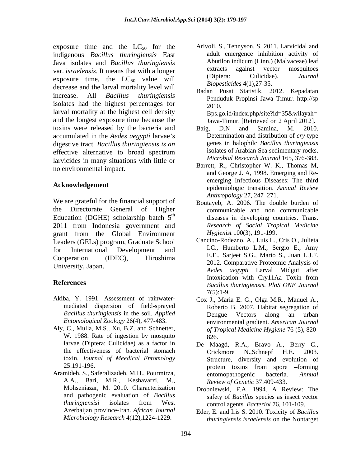exposure time and the  $LC_{50}$  for the indigenous *Bacillus thuringiensis* East Java isolates and *Bacillus thuringiensis* var. *israelensis*. It means that with a longer<br>
(Diptera: Culicidae). *Journal* exposure time, the  $LC_{50}$  value will decrease and the larval mortality level will increase. All *Bacillus thuringiensis* Penduduk Propinsi Jawa Timur. http://sp isolates had the highest percentages for  $\frac{1}{2010}$ larval mortality at the highest cell density and the longest exposure time because the Jawa-Timur. [Retrieved on 2 April 2012]. toxins were released by the bacteria and Baig, D.N and Samina, M. 2010. accumulated in the *Aedes aegypti* larvae's digestive tract. *Bacillus thuringiensis is an* effective alternative to broad spectrum solates of Arabian Sea sedimentary rocks. larvicides in many situations with little or no environmental impact.

*Anthropology* 27, 247–271.<br>We are grateful for the financial support of Boutaveb A 2006. The double the Directorate General of Higher communicable and non communicable Education (DGHE) scholarship batch  $5<sup>th</sup>$ 2011 from Indonesia government and grant from the Global Environment Leaders (GELs) program, Graduate School for International Development and I.C., Humberto L.M., Sergio E., Amy Cooperation (IDEC), Hiroshima E.E., Sarjeet S.G., Mario S., Juan L.J.F.

- Akiba, Y. 1991. Assessment of rainwater mediated dispersion of field-sprayed
- Aly, C., Mulla, M.S., Xu, B.Z. and Schnetter, W. 1988. Rate of ingestion by mosquito 826. toxin. *Journal of Meedical Entomology*
- Aramideh, S., Saferalizadeh, M.H., Pourmirza, A.A., Bari, M.R., Keshavarzi, M., and pathogenic evaluation of *Bacillus Microbiology Research* 4(12),1224-1229.
- Arivoli, S., Tennyson, S. 2011. Larvicidal and adult emergence inhibition activity of Abutilon indicum (Linn.) (Malvaceae) leaf extracts against vector mosquitoes (Diptera: Culicidae). *Journal Biopesticides* 4(1),27-35.
- Badan Pusat Statistik. 2012. Kepadatan 2010. Bps.go.id/index.php/site?id=35&wilayah=
- Baig, D.N and Samina, M. 2010. Determination and distribution of *cry-*type genes in halophilc *Bacillus thuringiensis* isolates of Arabian Sea sedimentary rocks. *Microbial Research Journal* 165, 376-383.
- **Acknowledgement**  epidemiologic transition. *Annual Review* Barrett, R., Christopher W. K., Thomas M, and George J. A, 1998. Emerging and Re emerging Infectious Diseases: The third *Anthropology* 27, 247–271.
	- th diseases in developing countries. Trans. Boutayeb, A. 2006. The double burden of *Research of Social Tropical Medicine Hygienist* 100(3), 191-199.
- University, Japan. *Aedes aegypti* Larval Midgut after **References** *Bacillus thuringiensis. PloS ONE Journal* Cancino-Rodezno, A., Luis L., Cris O., Julieta I.C., Humberto L.M., Sergio E., Amy E.E., Sarjeet S.G., Mario S., Juan L.J.F. 2012. Comparative Proteomic Analysis of Intoxication with Cry11Aa Toxin from 7(5):1-9.
	- *Bacillus thuringiensis* in the soil. *Applied Entomological Zoology* 26(4), 477-483. environmental gradient. *American Journal* Cox J., Maria E. G., Olga M.R., Manuel A., Roberto B. 2007. Habitat segregation of Dengue Vectors along an urban *of Tropical Medicine Hygiene* 76 (5), 820- 826.
	- larvae (Diptera: Culicidae) as a factor in De Maagd, R.A., Bravo A., Berry C., the effectiveness of bacterial stomach<br>
	Crickmore N., Schnepf H.E. 2003. 25:191-196. protein toxins from spore –forming Crickmore N.,Schnepf H.E. 2003. Structure, diversity and evolution of protein toxins from spore –forming entomopathogenic bacteria. *Annual Review of Genetic* 37:409-433.
	- Mohseniazar, M. 2010. Characterization Drobniewski, F.A. 1994. A Review: The *thuringiensisi* isolates from West safety of *Bacillus* species as insect vector control agents. *Bacteriol* 76, 101-109.
	- Azerbaijan province-Iran. *African Journal* Eder, E. and Iris S. 2010. Toxicity of *Bacillus thuringiensis israelensis* on the Nontarget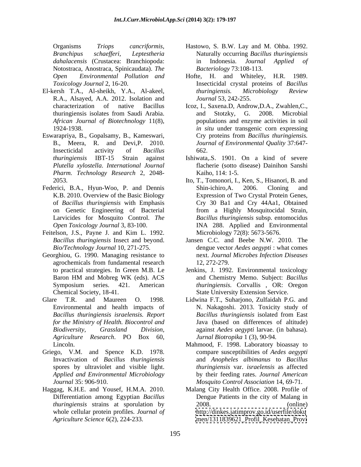Notostraca, Anostraca, Spinicaudata). *The*

- R.A., Alsayed, A.A. 2012. Isolation and
- Eswarapriya, B., Gopalsamy, B., Kameswari, *Plutella xylostella*. *International Journal Pharm. Technology Research* 2, 2048-
- Federici, B.A., Hyun-Woo, P. and Dennis Shin-ichiro, A. 2006. Cloning and Larvicides for Mosquito Control. *The*
- Feitelson, J.S., Payne J. and Kim L. 1992.
- Georghiou, G. 1990. Managing resistance to agrochemicals from fundamental research 12, 272-279.
- Glare T.R. and Maureen O. 1998. Lidwina F.T., Suharjono, Zulfaidah P.G. and *Agriculture Research*. PO Box 60,
- Griego, V.M. and Spence K.D. 1978.
- *Agriculture Science* 6(2), 224-233. [men/1311839621\\_Profil\\_Kesehatan\\_Provi](men/1311839621_Profil_Kesehatan_Provi)
- Organisms *Triops cancriformis,* Hastowo, S. B.W. Lay and M. Ohba. 1992. *Branchipus schaef eri, Leptestheria* Naturally occurring *Bacillus thuringiensis dahalacensis* (Crustacea: Branchiopoda: in Indonesia. *Journal Applied of Bacteriology* 73:108-113.
- *Open Environmental Pollution and Toxicology Journal* 2, 16-20. Insecticidal crystal proteins of *Bacillus*  El-kersh T.A., Al-sheikh, Y.A., Al-akeel, Hofte, H. and Whiteley, H.R. 1989. *thuringiensis. Microbiology Review Journal* 53, 242-255.
	- characterization of native Bacillus Icoz, I., Saxena.D, Androw,D.A., Zwahlen,C., thuringiensis isolates from Saudi Arabia. *African Journal of Biotechnology* 11(8), populations and enzyme activities in soil 1924-1938. *in situ* under transgenic corn expressing B., Meera, R. and Devi,P. 2010. *Journal of Environmental Quality* 37:647- Insecticidal activity of *Bacillus*  and Stotzky, G. 2008. Microbial Cry proteins from *Bacillus thuringiensis.* 662.
	- *thuringiensis* IBT-15 Strain against Ishiwata,.S. 1901. On a kind of severe flacherie (sotto disease) Dainihon Sanshi Kaiho, 114: 1-5.
	- 2053. Ito, T., Tomonori, I., Ken, S., Hisanori, B. and K.B. 2010. Overview of the Basic Biology Expression of Two Crystal Protein Genes, of *Bacillus thuringiensis* with Emphasis Cry 30 Ba1 and Cry 44Aa1, Obtained on Genetic Engineering of Bacterial from a Highly Mosquitocidal Strain, *Open Toxicology Journal* 3, 83-100. INA 288. Applied and Environmental Shin-ichiro,A. 2006. Cloning and *Bacillus thuringiensis* subsp. entomocidus Microbiology 72(8): 5673-5676.
	- *Bacillus thuringiensis* Insect and beyond. Jansen C.C. and Beebe N.W. 2010. The *Bio/Technology Journal* 10, 271-275. dengue vector *Aedes aegypti* : what comes next. *Journal Microbes Infection Diseases* 12, 272-279.
	- to practical strategies. In Green M.B. Le Jenkins, J. 1992. Environmental toxicology Baron HM and Mobreg WK (eds). ACS and Chemistry Memo. Subject: Bacillus Symposium series. 421. American *thuringiensis.* Corvallis , OR: Oregon Chemical Society, 18-41. State University Extension Service. and Chemistry Memo. Subject: *Bacillus*
	- Environmental and health impacts of N. Nakagoshi. 2013. Toxicity study of *Bacillus thuringiensis israelensis. Report for the Ministry of Health. Biocontrol and* Java (based on differences of altitude) *Biodiversity, Grassland Division,* against *Aedes aegypti* larvae. (in bahasa). *Bacillus thuringiensis* isolated from East *Jurnal Biotropika* 1 (3), 90-94*.*
	- Lincoln. Mahmood, F. 1998. Laboratory bioassay to Invactivation of *Bacillus thuringiensis* and *Anopheles albimanus* to *Bacillus*  spores by ultraviolet and visible light. *thuringiensis* var. *israelensis* as affected *Applied and Environmental Microbiology* by their feeding rates. *Journal American Journal* 35: 906-910. *Mosquito Control Association* 14, 69-71. compare susceptibilities of *Aedes aegypti*
- Haggag, K.H.E. and Yousef, H.M.A. 2010. Malang City Health Office. 2008. Profile of Differentiation among Egyptian *Bacillus*  Dengue Patients in the city of Malang in *thuringiensis* strains at sporulation by whole cellular protein profiles. *Journal of* <http://dinkes.jatimprov.go.id/userfile/doku> 2008. (online)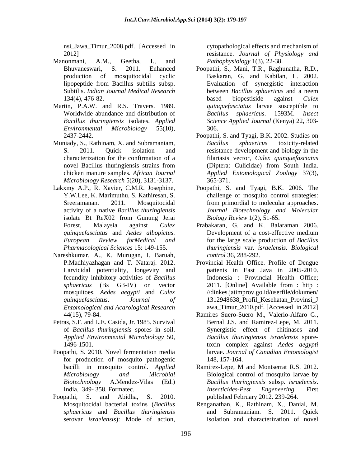nsi\_Jawa\_Timur\_2008.pdf. [Accessed in

- Manonmani, A.M., Geetha, I., and *Pathophysiology* 1(3), 22-38.
- Martin, P.A.W. and R.S. Travers. 1989.
- Muniady, S., Rathinam, X. and Subramaniam, Bacillus sphaericus toxicity-related *Microbiology Research* 5(20), 3131-3137.
- 
- Nareshkumar, A., K. Murugan, I. Baruah, *Entomological and Acarological Research*
- 
- Poopathi, S. 2010. Novel fermentation media for production of mosquito pathogenic 148, 157-164.
- Poopathi, S. and Abidha, S. 2010. published February 2012. 239-264. *sphaericus* and *Bacillus thuringiensis* serovar *israelensis*): Mode of action,

2012] resistance. *Journal of Physiology and* cytopathological effects and mechanism of *Pathophysiology* 1(3), 22-38.

- Bhuvaneswari, S. 2011. Enhanced Poopathi, S., Mani, T.R., Raghunatha, R.D., production of mosquitocidal cyclic Baskaran, G. and Kabilan, L. 2002. lipopeptide from Bacillus subtilis subsp. Subtilis. *Indian Journal Medical Research* 134(4), 476-82. based biopestiside against Culex Worldwide abundance and distribution of Bacillus sphaericus. 1593M. Insect *Bacillus thuringiensis* isolates. *Applied Science Applied Journal* (Kenya) 22,303- *Environmental Microbiology* 55(10), Evaluation of synergistic interaction between *Bacillus sphaericus* and a neem based biopestiside against *Culex quinquefasciatus* larvae susceptible to *Bacillus sphaericus*. 1593M. *Insect*  306.
- 2437-2442. Poopathi, S. and Tyagi, B.K. 2002. Studies on S. 2011. Quick isolation and resistance development and biology in the characterization for the confirmation of a filariasis vector, *Culex quinquefasciatus* novel Bacillus thuringiensis strains from chicken manure samples. *African Journal Applied Entomological Zoology* 37(3), *Bacillus sphaericus* toxicity-related (Diptera: Culicidae) from South India. 365-371.
- Lakxmy A.P., R. Xavier, C.M.R. Josephine, Poopathi, S. and Tyagi, B.K. 2006. The Y.W.Lee, K. Marimuthu, S. Kathiresan, S. challenge of mosquito control strategies: Sreeramanan. 2011. Mosquitocidal from primordial to molecular approaches. activity of a native *Bacillus thuringiensis Journal Biotechnology and Molecular* isolate Bt ReX02 from Gunung Jerai Biology Review 1(2), 51-65. *Biology Review* 1(2), 51-65.
	- Forest, Malaysia against *Culex*  Prabakaran, G. and K. Balaraman 2006. *quinquefasciatus* and *Aedes albopictus. European Review forMedical and* for the large scale production of *Bacillus Pharmacological Sciences* 15: 149-155. *thuringiensis* var. *israelensis*. *Biological*  Development of a cost-effective medium *control* 36, 288-292.
	- P.Madhiyazhagan and T. Nataraj. 2012. Provincial Health Office. Profile of Dengue Larvicidal potentiality, longevity and patients in East Java in 2005-2010. fecundity inhibitory activities of *Bacillus*  Indonesia : Provincial Health Office; *sphaericus* (Bs G3-IV) on vector 2011. [Online] Available from : http : mosquitoes, *Aedes aegypti* and *Culex*  //dinkes.jatimprov.go.id/userfile/dokumen/ *quinquefasciatus*. *Journal of* 1312948638\_Profil\_Kesehatan\_Provinsi\_J awa\_Timur\_2010.pdf. [Accessed in 2012]
- 44(15), 79-84. Petras, S.F. and L.E. Casida, Jr. 1985. Survival Ramires Suero-Suero M., Valerio-Alfaro G., of *Bacillus thuringiensis* spores in soil. Synergistic effect of chitinasesand *Applied Environmental Microbiology* 50, *Bacillus thuringiensis israelensis* spore-1496-1501. toxin complex against *Aedes aegypti* Bernal J.S. and Ramirez-Lepe, M. 2011. larvae. *Journal of Canadian Entomologist* 148, 157-164.
	- bacilli in mosquito control. *Applied* Ramirez-Lepe, M and Montserrat R.S. 2012. *Microbiology and Microbial* Biological control of mosquito larvae by *Biotechnology* A.Mendez-Vilas (Ed.) *Bacillus thuringiensis* subsp. *israelensis*. India, 349-358. Formatec. The *Insecticides-Pest Engeneering*. First Ramirez-Lepe, M and Montserrat R.S. 2012. *Insecticides-Pest Engeneering*. First
	- Mosquitocidal bacterial toxins (*Bacillus*  Renganathan, K., Rathinam, X., Danial, M. and Subramaniam. S. 2011. Quick isolation and characterization of novel